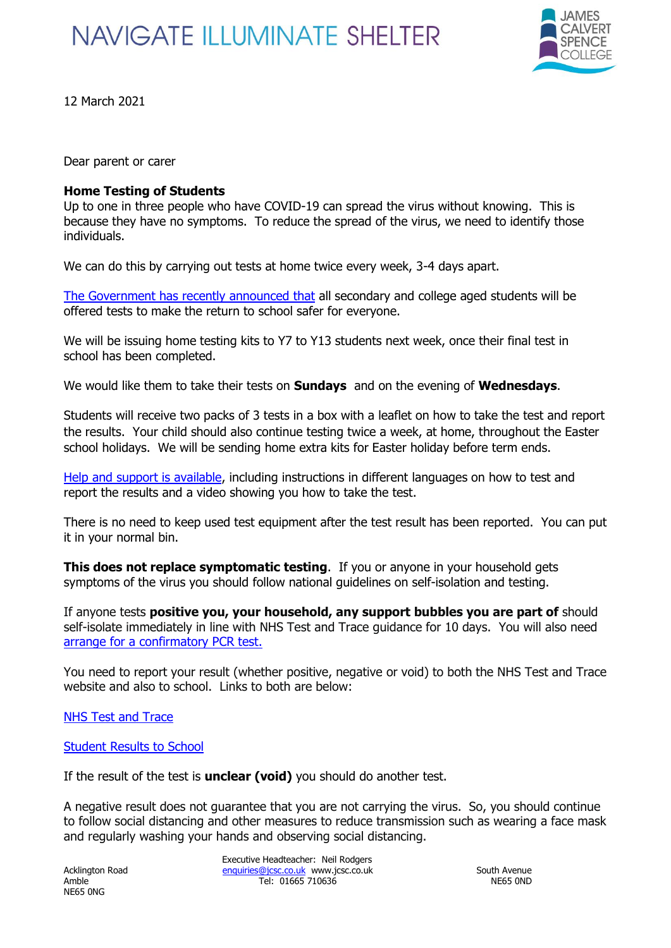## **NAVIGATE ILLUMINATE SHELTER**



12 March 2021

Dear parent or carer

## **Home Testing of Students**

Up to one in three people who have COVID-19 can spread the virus without knowing. This is because they have no symptoms. To reduce the spread of the virus, we need to identify those individuals.

We can do this by carrying out tests at home twice every week, 3-4 days apart.

[The Government has recently announced that](https://www.gov.uk/guidance/rapid-lateral-flow-testing-for-households-and-bubbles-of-school-pupils-and-staff) all secondary and college aged students will be offered tests to make the return to school safer for everyone.

We will be issuing home testing kits to Y7 to Y13 students next week, once their final test in school has been completed.

We would like them to take their tests on **Sundays** and on the evening of **Wednesdays**.

Students will receive two packs of 3 tests in a box with a leaflet on how to take the test and report the results. Your child should also continue testing twice a week, at home, throughout the Easter school holidays. We will be sending home extra kits for Easter holiday before term ends.

[Help and support is available,](https://www.gov.uk/guidance/covid-19-self-test-help) including instructions in different languages on how to test and report the results and a video showing you how to take the test.

There is no need to keep used test equipment after the test result has been reported. You can put it in your normal bin.

**This does not replace symptomatic testing**. If you or anyone in your household gets symptoms of the virus you should follow national guidelines on self-isolation and testing.

If anyone tests **positive you, your household, any support bubbles you are part of** should self-isolate immediately in line with NHS Test and Trace guidance for 10 days. You will also need [arrange for a confirmatory PCR test.](https://www.gov.uk/get-coronavirus-test)

You need to report your result (whether positive, negative or void) to both the NHS Test and Trace website and also to school. Links to both are below:

[NHS Test and Trace](https://www.gov.uk/report-covid19-result)

[Student Results to School](https://forms.office.com/Pages/ResponsePage.aspx?id=DPahrxLBiUe50sRrwmHy3oygVwaJ6m9BiKT-rDihrApUQk5KS04xM0RaRVE4TldDOUk5TjcwMTc1Ti4u)

If the result of the test is **unclear (void)** you should do another test.

A negative result does not guarantee that you are not carrying the virus. So, you should continue to follow social distancing and other measures to reduce transmission such as wearing a face mask and regularly washing your hands and observing social distancing.

NE65 0NG

Executive Headteacher: Neil Rodgers Acklington Road [enquiries@jcsc.co.uk](mailto:enquiries@jcsc.co.uk) www.jcsc.co.uk South Avenue Amble Tel: 01665 710636 NE65 0ND